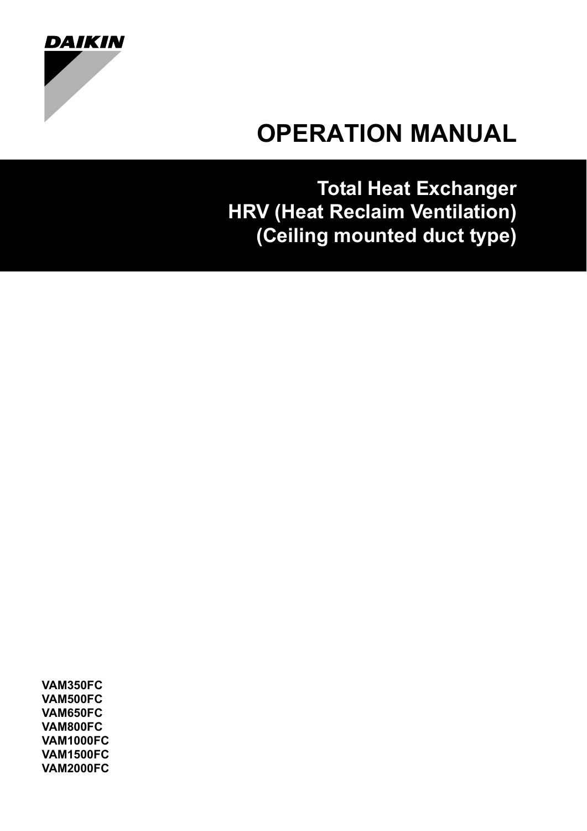

# **OPERATION MANUAL**

**[Total Heat Exchanger](#page-3-0) [HRV \(Heat Reclaim Ventilation\)](#page-3-1) (Ceiling mounted duct type)**

**VAM350FC VAM500FC VAM650FC VAM800FC VAM1000FC VAM1500FC VAM2000FC**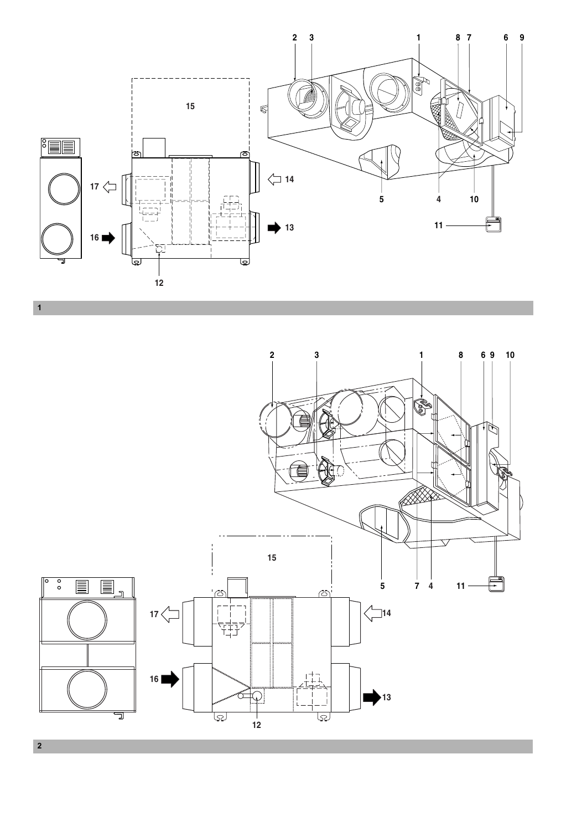<span id="page-1-0"></span>

<span id="page-1-1"></span>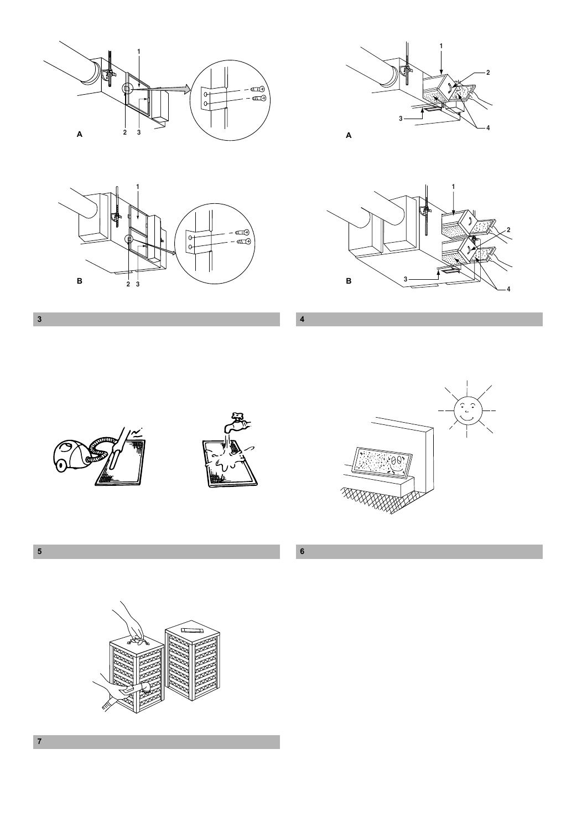<span id="page-2-0"></span>



<span id="page-2-1"></span>



<span id="page-2-2"></span>

<span id="page-2-3"></span>







<span id="page-2-4"></span>

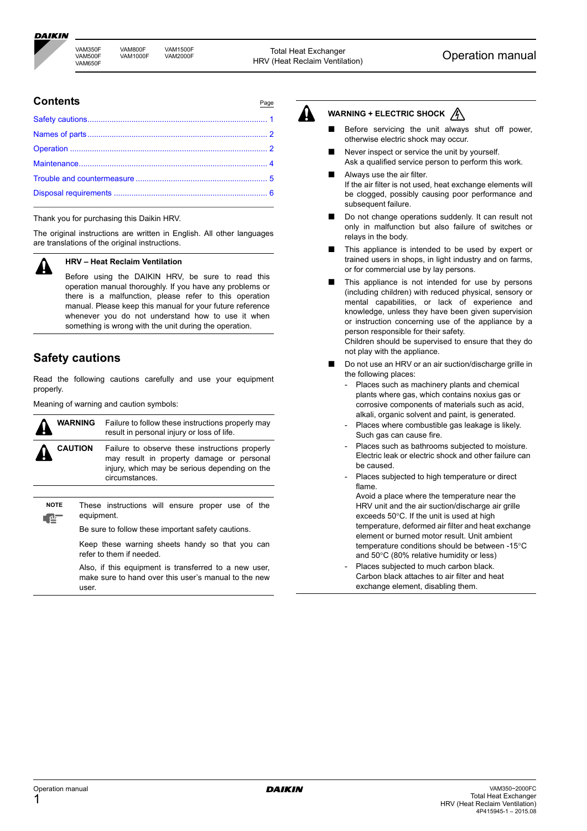VAM350F VAM800F VAM1500F VAM1000F

# **Contents** Page

VAM650F

Thank you for purchasing this Daikin HRV.

The original instructions are written in English. All other languages are translations of the original instructions.



Before using the DAIKIN HRV, be sure to read this operation manual thoroughly. If you have any problems or there is a malfunction, please refer to this operation manual. Please keep this manual for your future reference whenever you do not understand how to use it when something is wrong with the unit during the operation.

# <span id="page-3-2"></span>**Safety cautions**

Read the following cautions carefully and use your equipment properly.

Meaning of warning and caution symbols:

| WARNING        | Failure to follow these instructions properly may<br>result in personal injury or loss of life.                                                                |
|----------------|----------------------------------------------------------------------------------------------------------------------------------------------------------------|
| <b>CAUTION</b> | Failure to observe these instructions properly<br>may result in property damage or personal<br>injury, which may be serious depending on the<br>circumstances. |
|                | .                                                                                                                                                              |

**NOTE** These instructions will ensure proper use of the equipment. ▔▅

Be sure to follow these important safety cautions.

Keep these warning sheets handy so that you can refer to them if needed.

Also, if this equipment is transferred to a new user, make sure to hand over this user's manual to the new user.

<span id="page-3-1"></span><span id="page-3-0"></span>

# **WARNING + ELECTRIC SHOCK**

- Before servicing the unit always shut off power, otherwise electric shock may occur.
- Never inspect or service the unit by yourself. Ask a qualified service person to perform this work.
- Always use the air filter. If the air filter is not used, heat exchange elements will be clogged, possibly causing poor performance and subsequent failure.
- Do not change operations suddenly. It can result not only in malfunction but also failure of switches or relays in the body.
- This appliance is intended to be used by expert or trained users in shops, in light industry and on farms, or for commercial use by lay persons.
- This appliance is not intended for use by persons (including children) with reduced physical, sensory or mental capabilities, or lack of experience and knowledge, unless they have been given supervision or instruction concerning use of the appliance by a person responsible for their safety. Children should be supervised to ensure that they do not play with the appliance.
- Do not use an HRV or an air suction/discharge grille in the following places:
	- Places such as machinery plants and chemical plants where gas, which contains noxius gas or corrosive components of materials such as acid, alkali, organic solvent and paint, is generated.
	- Places where combustible gas leakage is likely. Such gas can cause fire.
	- Places such as bathrooms subjected to moisture. Electric leak or electric shock and other failure can be caused.
	- Places subjected to high temperature or direct flame.

Avoid a place where the temperature near the HRV unit and the air suction/discharge air grille exceeds 50°C. If the unit is used at high temperature, deformed air filter and heat exchange element or burned motor result. Unit ambient temperature conditions should be between -15°C and 50°C (80% relative humidity or less)

Places subjected to much carbon black. Carbon black attaches to air filter and heat exchange element, disabling them.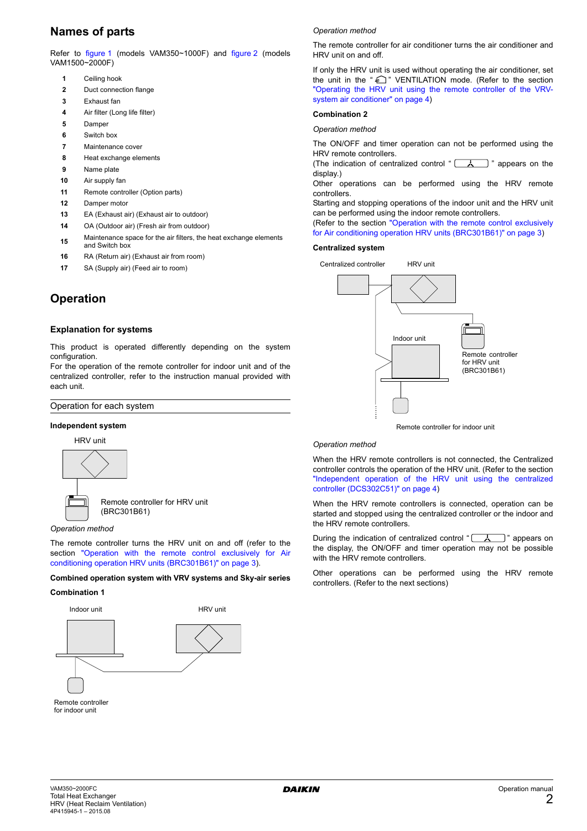# <span id="page-4-0"></span>**Names of parts**

Refer to [figure 1](#page-1-0) (models VAM350~1000F) and [figure 2](#page-1-1) (models VAM1500~2000F)

- **1** Ceiling hook
- **2** Duct connection flange
- **3** Exhaust fan
- **4** Air filter (Long life filter)
- **5** Damper
- **6** Switch box
- **7** Maintenance cover
- **8** Heat exchange elements
- **9** Name plate
- **10** Air supply fan
- **11** Remote controller (Option parts)
- **12** Damper motor
- **13** EA (Exhaust air) (Exhaust air to outdoor)
- **14** OA (Outdoor air) (Fresh air from outdoor)
- 15 Maintenance space for the air filters, the heat exchange elements and Switch box
- **16** RA (Return air) (Exhaust air from room)
- **17** SA (Supply air) (Feed air to room)

# <span id="page-4-1"></span>**Operation**

## **Explanation for systems**

This product is operated differently depending on the system configuration.

For the operation of the remote controller for indoor unit and of the centralized controller, refer to the instruction manual provided with each unit.

#### Operation for each system

## **Independent system**



#### *Operation method*

The remote controller turns the HRV unit on and off (refer to the section ["Operation with the remote control exclusively for Air](#page-5-0) [conditioning operation HRV units \(BRC301B61\)" on page 3\)](#page-5-0).

#### **Combined operation system with VRV systems and Sky-air series**

#### **Combination 1**



#### *Operation method*

The remote controller for air conditioner turns the air conditioner and HRV unit on and off.

If only the HRV unit is used without operating the air conditioner, set the unit in the " $\bigoplus$ " VENTILATION mode. (Refer to the section ["Operating the HRV unit using the remote controller of the VRV](#page-6-2)[system air conditioner" on page 4\)](#page-6-2)

#### **Combination 2**

#### *Operation method*

The ON/OFF and timer operation can not be performed using the HRV remote controllers.

(The indication of centralized control "  $\sqrt{\frac{1}{2}}$ " appears on the display.)

Other operations can be performed using the HRV remote controllers.

Starting and stopping operations of the indoor unit and the HRV unit can be performed using the indoor remote controllers.

(Refer to the section ["Operation with the remote control exclusively](#page-5-0) [for Air conditioning operation HRV units \(BRC301B61\)" on page 3\)](#page-5-0)

#### **Centralized system**



Remote controller for indoor unit

## *Operation method*

When the HRV remote controllers is not connected, the Centralized controller controls the operation of the HRV unit. (Refer to the section ["Independent operation of the HRV unit using the centralized](#page-6-1) [controller \(DCS302C51\)" on page 4](#page-6-1))

When the HRV remote controllers is connected, operation can be started and stopped using the centralized controller or the indoor and the HRV remote controllers.

During the indication of centralized control "  $\frac{1}{\sqrt{1-\frac{1}{2}}}$ " appears on the display, the ON/OFF and timer operation may not be possible with the HRV remote controllers.

Other operations can be performed using the HRV remote controllers. (Refer to the next sections)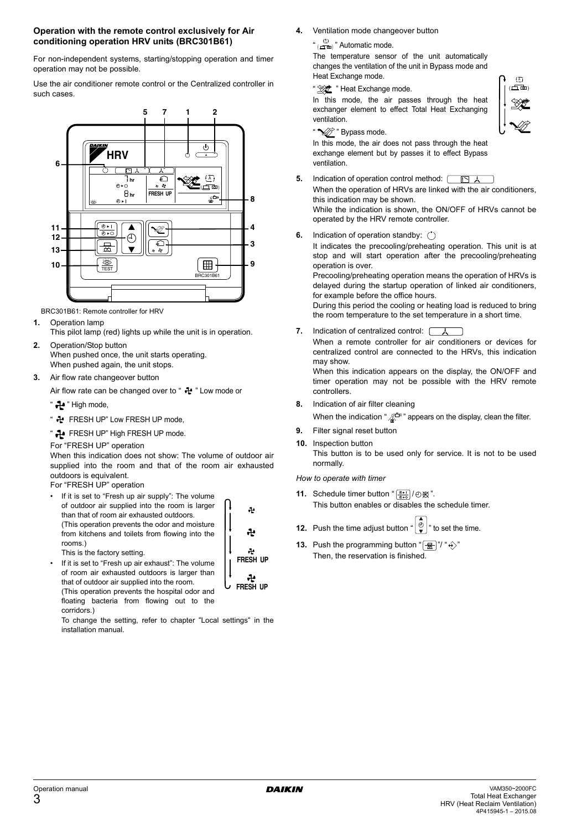## <span id="page-5-0"></span>**Operation with the remote control exclusively for Air conditioning operation HRV units (BRC301B61)**

For non-independent systems, starting/stopping operation and timer operation may not be possible.

Use the air conditioner remote control or the Centralized controller in such cases.



BRC301B61: Remote controller for HRV

**1.** Operation lamp

This pilot lamp (red) lights up while the unit is in operation. **2.** Operation/Stop button

When pushed once, the unit starts operating. When pushed again, the unit stops.

**3.** Air flow rate changeover button

Air flow rate can be changed over to " $\mathcal{H}$ " Low mode or

 $\bigoplus$  " High mode,

- " FRESH UP" Low FRESH UP mode,
- **"** <sup>#</sup> FRESH UP" High FRESH UP mode.

# For "FRESH UP" operation

When this indication does not show: The volume of outdoor air supplied into the room and that of the room air exhausted outdoors is equivalent.

For "FRESH UP" operation

- If it is set to "Fresh up air supply": The volume of outdoor air supplied into the room is larger than that of room air exhausted outdoors. (This operation prevents the odor and moisture from kitchens and toilets from flowing into the rooms.) This is the factory setting.
- If it is set to "Fresh up air exhaust": The volume of room air exhausted outdoors is larger than that of outdoor air supplied into the room. (This operation prevents the hospital odor and floating bacteria from flowing out to the corridors.)

To change the setting, refer to chapter "Local settings" in the installation manual.

- **4.** Ventilation mode changeover button
	- $\frac{w}{(\Box w)}$ " Automatic mode.

The temperature sensor of the unit automatically changes the ventilation of the unit in Bypass mode and Heat Exchange mode.

"  $\mathcal{D}$  " Heat Exchange mode.

In this mode, the air passes through the heat exchanger element to effect Total Heat Exchanging ventilation.

"  $\mathbb{Z}$ " Bypass mode.

In this mode, the air does not pass through the heat exchange element but by passes it to effect Bypass ventilation.

- **5.** Indication of operation control method:  $\boxed{\Box \Box \bot}$ 
	- When the operation of HRVs are linked with the air conditioners, this indication may be shown.

While the indication is shown, the ON/OFF of HRVs cannot be operated by the HRV remote controller.

**6.** Indication of operation standby:  $(')$ 

It indicates the precooling/preheating operation. This unit is at stop and will start operation after the precooling/preheating operation is over.

Precooling/preheating operation means the operation of HRVs is delayed during the startup operation of linked air conditioners, for example before the office hours.

During this period the cooling or heating load is reduced to bring the room temperature to the set temperature in a short time.

**7.** Indication of centralized control: ्र

When a remote controller for air conditioners or devices for centralized control are connected to the HRVs, this indication may show.

When this indication appears on the display, the ON/OFF and timer operation may not be possible with the HRV remote controllers.

**8.** Indication of air filter cleaning

When the indication " $\mathbb{R}^{\pm}$ " appears on the display, clean the filter.

- **9.** Filter signal reset button
- **10.** Inspection button

This button is to be used only for service. It is not to be used normally.

<span id="page-5-1"></span>*How to operate with timer*

- **11.** Schedule timer button " $\left[\frac{\Theta_{1}}{\Theta_{10}}\right]$ / $\oplus \frac{\infty}{\infty}$ ". This button enables or disables the schedule timer.
- **12.** Push the time adjust button  $\left\{\begin{matrix} \mathbf{A} \\ \mathbf{C} \end{matrix}\right\}$  to set the time.
- **13.** Push the programming button " $\boxed{\frac{1}{\mathcal{L}}}$ ", " $\overset{?}{\leftrightarrow}$ " Then, the reservation is finished.





 $\ddot{+}$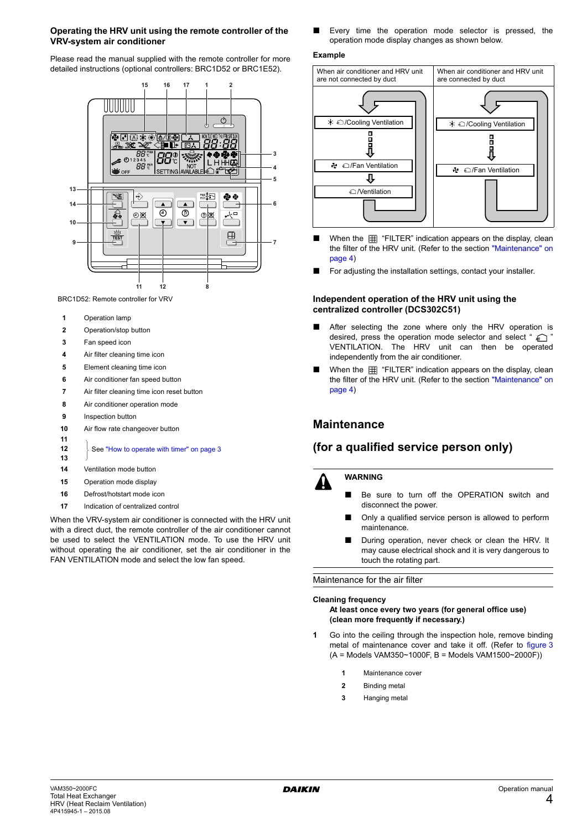## <span id="page-6-2"></span>**Operating the HRV unit using the remote controller of the VRV-system air conditioner**

Please read the manual supplied with the remote controller for more detailed instructions (optional controllers: BRC1D52 or BRC1E52).



BRC1D52: Remote controller for VRV

- **1** Operation lamp
- **2** Operation/stop button
- **3** Fan speed icon
- **4** Air filter cleaning time icon
- **5** Element cleaning time icon
- **6** Air conditioner fan speed button
- **7** Air filter cleaning time icon reset button
- **8** Air conditioner operation mode
- **9** Inspection button
- **10** Air flow rate changeover button
- **11**
- **12** See ["How to operate with timer" on page 3](#page-5-1) **13**
- **14** Ventilation mode button
- **15** Operation mode display
- **16** Defrost/hotstart mode icon
- **17** Indication of centralized control

When the VRV-system air conditioner is connected with the HRV unit with a direct duct, the remote controller of the air conditioner cannot be used to select the VENTILATION mode. To use the HRV unit without operating the air conditioner, set the air conditioner in the FAN VENTILATION mode and select the low fan speed.

 Every time the operation mode selector is pressed, the operation mode display changes as shown below.

# **Example**



- When the  $\Box$  "FILTER" indication appears on the display, clean the filter of the HRV unit. (Refer to the section ["Maintenance" on](#page-6-0)  $naq<sub>e</sub>$  4)
- For adjusting the installation settings, contact your installer.

## <span id="page-6-1"></span>**Independent operation of the HRV unit using the centralized controller (DCS302C51)**

- **E** After selecting the zone where only the HRV operation is desired, press the operation mode selector and select " $\epsilon$ VENTILATION. The HRV unit can then be operated independently from the air conditioner.
- When the  $\Box$  "FILTER" indication appears on the display, clean the filter of the HRV unit. (Refer to the section ["Maintenance" on](#page-6-0) [page 4](#page-6-0))

# <span id="page-6-0"></span>**Maintenance**

# **(for a qualified service person only)**

# **WARNING**

- Be sure to turn off the OPERATION switch and disconnect the power.
- Only a qualified service person is allowed to perform maintenance.
- During operation, never check or clean the HRV. It may cause electrical shock and it is very dangerous to touch the rotating part.

Maintenance for the air filter

## **Cleaning frequency**

**At least once every two years (for general office use) (clean more frequently if necessary.)**

- **1** Go into the ceiling through the inspection hole, remove binding metal of maintenance cover and take it off. (Refer to [figure 3](#page-2-0) (A = Models VAM350~1000F, B = Models VAM1500~2000F))
	- **1** Maintenance cover
	- **2** Binding metal
	- **3** Hanging metal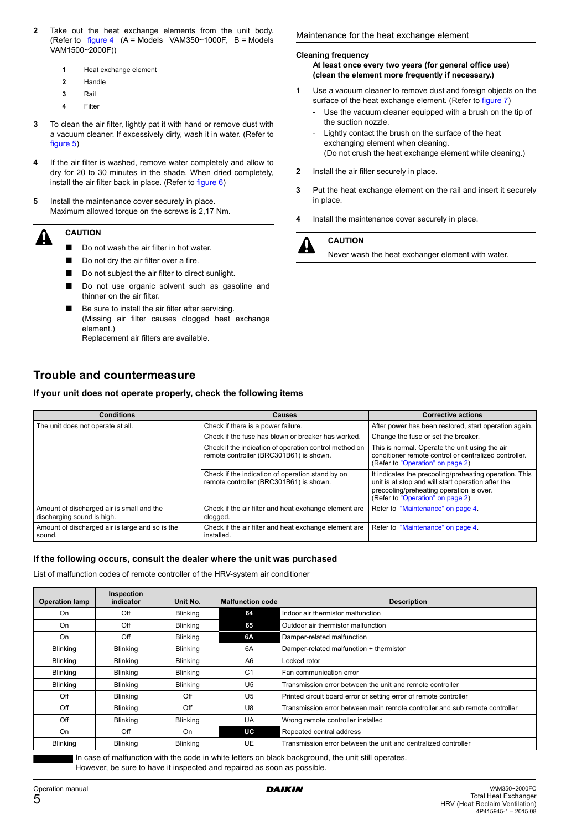- **2** Take out the heat exchange elements from the unit body. (Refer to [figure 4](#page-2-1)  $(A =$  Models VAM350~1000F, B = Models VAM1500~2000F))
	- **1** Heat exchange element
	- **2** Handle
	- **3** Rail
	- **4** Filter
- **3** To clean the air filter, lightly pat it with hand or remove dust with a vacuum cleaner. If excessively dirty, wash it in water. (Refer to [figure 5\)](#page-2-2)
- **4** If the air filter is washed, remove water completely and allow to dry for 20 to 30 minutes in the shade. When dried completely, install the air filter back in place. (Refer to [figure 6](#page-2-3))
- **5** Install the maintenance cover securely in place. Maximum allowed torque on the screws is 2,17 Nm.

# **CAUTION**

- Do not wash the air filter in hot water
- Do not dry the air filter over a fire.
- Do not subject the air filter to direct sunlight.
- Do not use organic solvent such as gasoline and thinner on the air filter.
- Be sure to install the air filter after servicing. (Missing air filter causes clogged heat exchange element.) Replacement air filters are available.

Maintenance for the heat exchange element

#### **Cleaning frequency**

## **At least once every two years (for general office use) (clean the element more frequently if necessary.)**

- **1** Use a vacuum cleaner to remove dust and foreign objects on the surface of the heat exchange element. (Refer to [figure 7\)](#page-2-4)
	- Use the vacuum cleaner equipped with a brush on the tip of the suction nozzle.
	- Lightly contact the brush on the surface of the heat exchanging element when cleaning. (Do not crush the heat exchange element while cleaning.)
- **2** Install the air filter securely in place.
- **3** Put the heat exchange element on the rail and insert it securely in place.
- **4** Install the maintenance cover securely in place.

# **CAUTION**

Never wash the heat exchanger element with water.

# <span id="page-7-0"></span>**Trouble and countermeasure**

**If your unit does not operate properly, check the following items**

| <b>Conditions</b>                                                       | <b>Causes</b>                                                                                     | <b>Corrective actions</b>                                                                                                                                                                    |
|-------------------------------------------------------------------------|---------------------------------------------------------------------------------------------------|----------------------------------------------------------------------------------------------------------------------------------------------------------------------------------------------|
| The unit does not operate at all.                                       | Check if there is a power failure.                                                                | After power has been restored, start operation again.                                                                                                                                        |
|                                                                         | Check if the fuse has blown or breaker has worked.                                                | Change the fuse or set the breaker.                                                                                                                                                          |
|                                                                         | Check if the indication of operation control method on<br>remote controller (BRC301B61) is shown. | This is normal. Operate the unit using the air<br>conditioner remote control or centralized controller.<br>(Refer to "Operation" on page 2)                                                  |
|                                                                         | Check if the indication of operation stand by on<br>remote controller (BRC301B61) is shown.       | It indicates the precooling/preheating operation. This<br>unit is at stop and will start operation after the<br>precooling/preheating operation is over.<br>(Refer to "Operation" on page 2) |
| Amount of discharged air is small and the<br>discharging sound is high. | Check if the air filter and heat exchange element are<br>clogged.                                 | Refer to "Maintenance" on page 4.                                                                                                                                                            |
| Amount of discharged air is large and so is the<br>sound.               | Check if the air filter and heat exchange element are<br>installed.                               | Refer to "Maintenance" on page 4.                                                                                                                                                            |

# **If the following occurs, consult the dealer where the unit was purchased**

List of malfunction codes of remote controller of the HRV-system air conditioner

| <b>Operation lamp</b> | Inspection<br>indicator | Unit No.        | <b>Malfunction code</b> | <b>Description</b>                                                          |
|-----------------------|-------------------------|-----------------|-------------------------|-----------------------------------------------------------------------------|
| On                    | Off                     | Blinking        | 64                      | Indoor air thermistor malfunction                                           |
| On                    | Off                     | <b>Blinking</b> | 65                      | Outdoor air thermistor malfunction                                          |
| On                    | Off                     | <b>Blinking</b> | 6A                      | Damper-related malfunction                                                  |
| Blinking              | Blinking                | <b>Blinking</b> | 6A                      | Damper-related malfunction + thermistor                                     |
| Blinking              | <b>Blinking</b>         | <b>Blinking</b> | A <sub>6</sub>          | Locked rotor                                                                |
| Blinking              | <b>Blinking</b>         | <b>Blinking</b> | C <sub>1</sub>          | Fan communication error                                                     |
| Blinking              | <b>Blinking</b>         | <b>Blinking</b> | U <sub>5</sub>          | Transmission error between the unit and remote controller                   |
| Off                   | <b>Blinking</b>         | Off             | U <sub>5</sub>          | Printed circuit board error or setting error of remote controller           |
| Off                   | Blinking                | Off             | U8                      | Transmission error between main remote controller and sub remote controller |
| Off                   | Blinking                | <b>Blinking</b> | UA                      | Wrong remote controller installed                                           |
| On                    | Off                     | On              | UC                      | Repeated central address                                                    |
| <b>Blinking</b>       | <b>Blinking</b>         | <b>Blinking</b> | UE                      | Transmission error between the unit and centralized controller              |

 In case of malfunction with the code in white letters on black background, the unit still operates. However, be sure to have it inspected and repaired as soon as possible.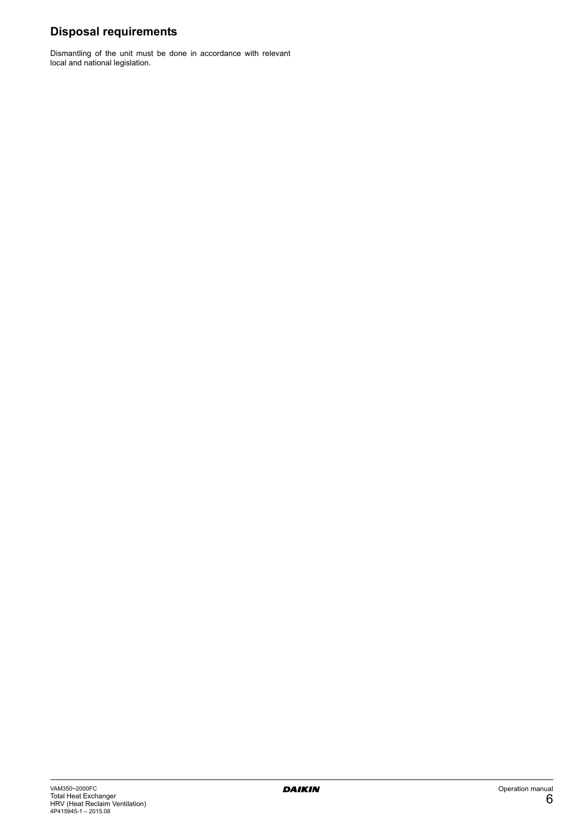# <span id="page-8-0"></span>**Disposal requirements**

Dismantling of the unit must be done in accordance with relevant local and national legislation.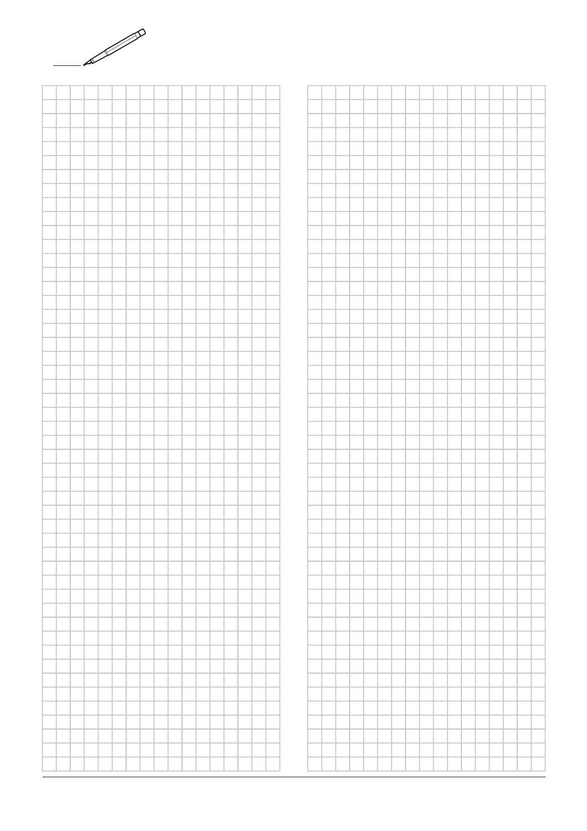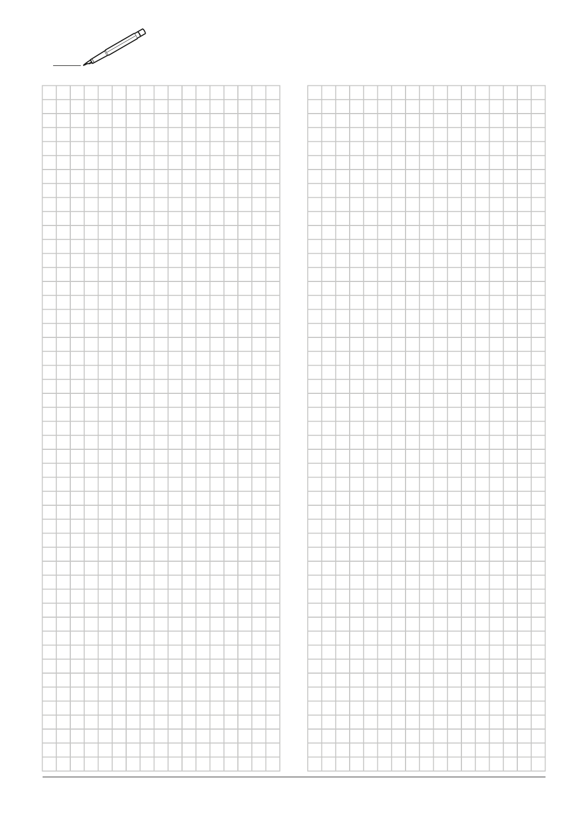